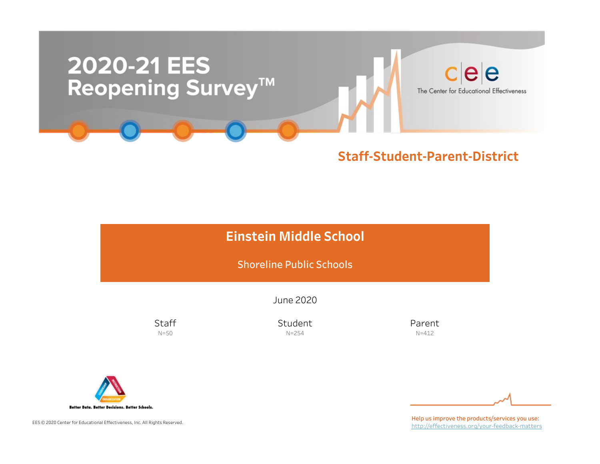

### Staff-Student-Parent-District

## Einstein Middle School

Shoreline Public Schools

June2020

**Staff** N=50

Student N=254

Parent N=412



EES © 2020 Center for Educational Effectiveness, Inc. All Rights Reserved.

Help us improve the products/services you use: http://effectiveness.org/your-feedback-matters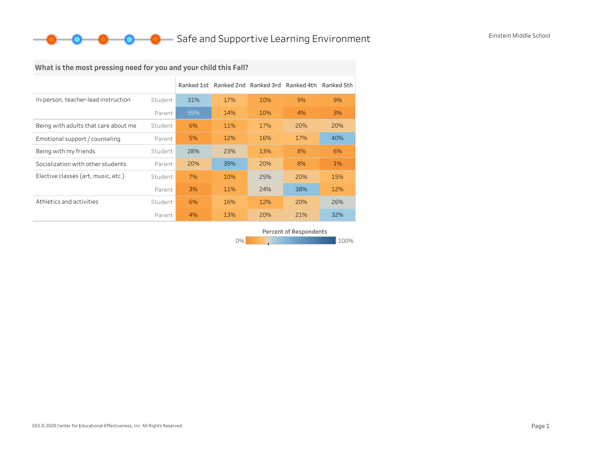### **O** Safe and Supportive Learning Environment Einstein Middle School

## What is the most pressing need for you and your child this Fall?

|                                      |         |     | Ranked 1st Ranked 2nd Ranked 3rd Ranked 4th |     |     | Ranked 5th |
|--------------------------------------|---------|-----|---------------------------------------------|-----|-----|------------|
| In-person, teacher-lead instruction  | Student | 31% | 17%                                         | 10% | 9%  | 9%         |
|                                      | Parent  | 59% | 14%                                         | 10% | 4%  | 3%         |
| Being with adults that care about me | Student | 6%  | 11%                                         | 17% | 20% | 20%        |
| Emotional support / counseling       | Parent  | 5%  | 12%                                         | 16% | 17% | 40%        |
| Being with my friends                | Student | 28% | 23%                                         | 13% | 8%  | 6%         |
| Socialization with other students    | Parent  | 20% | 39%                                         | 20% | 8%  | $1\%$      |
| Elective classes (art, music, etc.)  | Student | 7%  | 10%                                         | 25% | 20% | 15%        |
|                                      | Parent  | 3%  | 11%                                         | 24% | 38% | 12%        |
| Athletics and activities             | Student | 6%  | 16%                                         | 12% | 20% | 26%        |
|                                      | Parent  | 4%  | 13%                                         | 20% | 21% | 32%        |

Percent of Respondents

0% 100% 100% 100% 100%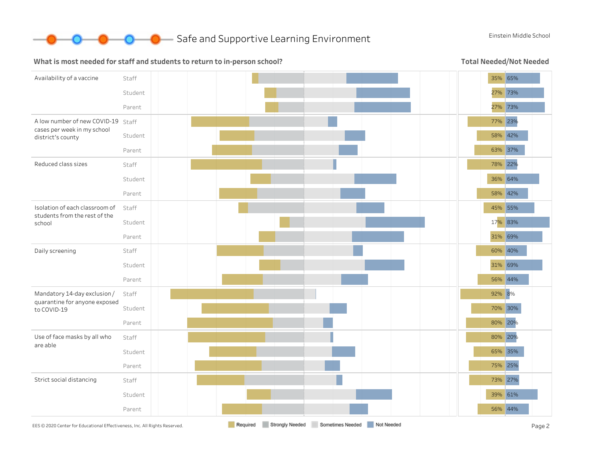

#### What is most needed for staff and students to return to in-person school?

Total Needed/Not Needed

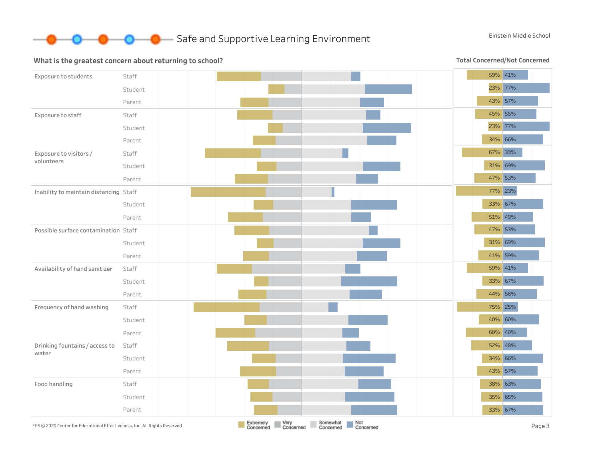

#### What is the greatest concern about returning to school?

Total Concerned/Not Concerned

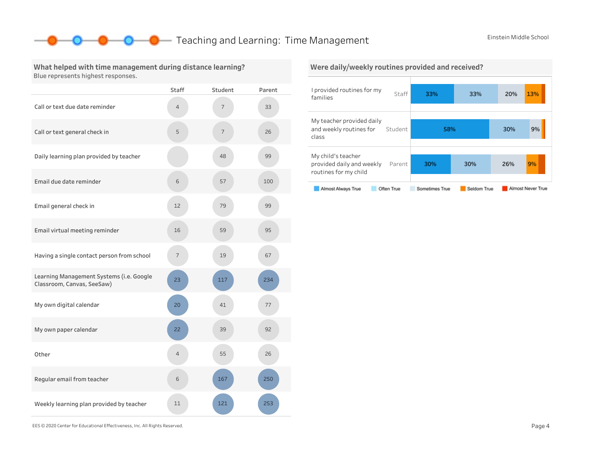### **O** Teaching and Learning: Time Management Einstein Middle School

#### What helped with time management during distance learning? Blue represents highest responses.

|                                                                        | <b>Staff</b> | Student                  | Parent |
|------------------------------------------------------------------------|--------------|--------------------------|--------|
| Call or text due date reminder                                         | 4            | 7                        | 33     |
| Call or text general check in                                          | 5            | $\overline{\phantom{a}}$ | 26     |
| Daily learning plan provided by teacher                                |              | 48                       | 99     |
| Email due date reminder                                                | 6            | 57                       | 100    |
| Email general check in                                                 | 12           | 79                       | 99     |
| Email virtual meeting reminder                                         | 16           | 59                       | 95     |
| Having a single contact person from school                             | 7            | 19                       | 67     |
| Learning Management Systems (i.e. Google<br>Classroom, Canvas, SeeSaw) | 23           | 117                      | 234    |
| My own digital calendar                                                | 20           | 41                       | 77     |
| My own paper calendar                                                  | 22           | 39                       | 92     |
| Other                                                                  | 4            | 55                       | 26     |
| Regular email from teacher                                             | 6            | 167                      | 250    |
| Weekly learning plan provided by teacher                               | 11           | 121                      | 253    |

#### I provided routines for my families Staff My teacher provided daily and weekly routines for Student class Mychild'steacher provided daily and weekly Parent 33% 33% 20% 13% 58% 30% 9% 30% 30% 26% 9% Were daily/weekly routines provided and received?

#### Almost Never True Almost Always True Often True Sometimes True Seldom True

routines for my child

EES©2020CenterforEducationalEffectiveness,Inc.AllRightsReserved. Page4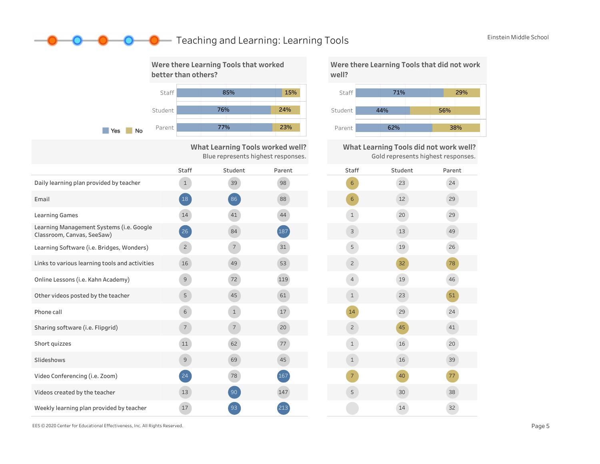### **O** Teaching and Learning: Learning Tools Einstein Middle School



29% 56%

What Learning Tools did not work well? Gold represents highest responses.



EES © 2020 Center for Educational Effectiveness, Inc. All Rights Reserved. **Page 5** Page 5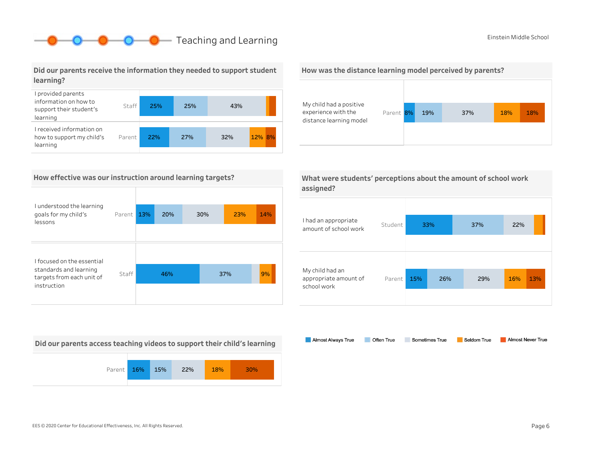## **O** Teaching and Learning **Example 20** Einstein Middle School

#### Did our parents receive the information they needed to support student learning?



#### How effective was our instruction around learning targets?

| I understood the learning<br>goals for my child's<br>lessons       | Parent | 13% | 20% | 30% | 23% | 14% |
|--------------------------------------------------------------------|--------|-----|-----|-----|-----|-----|
| I focused on the essential                                         |        |     |     |     |     |     |
| standards and learning<br>targets from each unit of<br>instruction | Staff  |     | 46% |     | 37% | 9%  |

Did our parents access teaching videos to support their child's learning







| What were students' perceptions about the amount of school work |  |
|-----------------------------------------------------------------|--|
| assigned?                                                       |  |

| I had an appropriate<br>amount of school work           | Student |     | 33% | 37% | 22% |     |
|---------------------------------------------------------|---------|-----|-----|-----|-----|-----|
| My child had an<br>appropriate amount of<br>school work | Parent  | 15% | 26% | 29% | 16% | 13% |

Almost Always True Sometimes True Almost Never True Often True Seldom True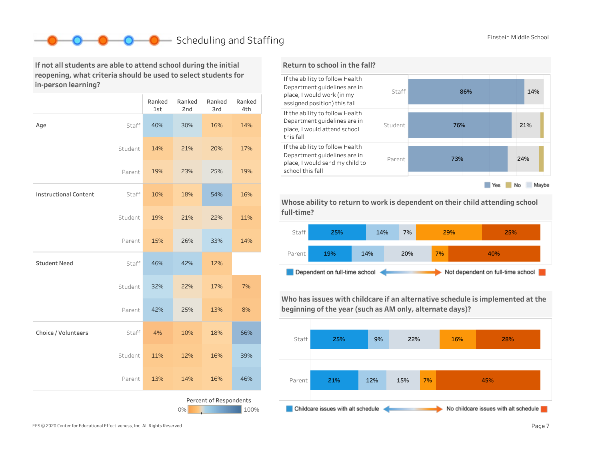## Scheduling and Staffing Einstein Middle School

If not all students are able to attend school during the initial reopening, what criteria should be used to select students for in-person learning?

|                              |         | Ranked<br>1st | Ranked<br>2nd | Ranked<br>3rd          | Ranked<br>4th |
|------------------------------|---------|---------------|---------------|------------------------|---------------|
| Age                          | Staff   | 40%           | 30%           | 16%                    | 14%           |
|                              | Student | 14%           | 21%           | 20%                    | 17%           |
|                              | Parent  | 19%           | 23%           | 25%                    | 19%           |
| <b>Instructional Content</b> | Staff   | 10%           | 18%           | 54%                    | 16%           |
|                              | Student | 19%           | 21%           | 22%                    | 11%           |
|                              | Parent  | 15%           | 26%           | 33%                    | 14%           |
| <b>Student Need</b>          | Staff   | 46%           | 42%           | 12%                    |               |
|                              | Student | 32%           | 22%           | 17%                    | 7%            |
|                              | Parent  | 42%           | 25%           | 13%                    | 8%            |
| Choice / Volunteers          | Staff   | 4%            | 10%           | 18%                    | 66%           |
|                              | Student | 11%           | 12%           | 16%                    | 39%           |
|                              | Parent  | 13%           | 14%           | 16%                    | 46%           |
|                              |         |               | 0%            | Percent of Respondents | 100%          |



Whose ability to return to work is dependent on their child attending school full-time?



Who has issues with childcare if an alternative schedule is implemented at the beginning of the year (such as AM only, alternate days)?



EES © 2020 Center for Educational Effectiveness, Inc. All Rights Reserved. **Page 7** Page 7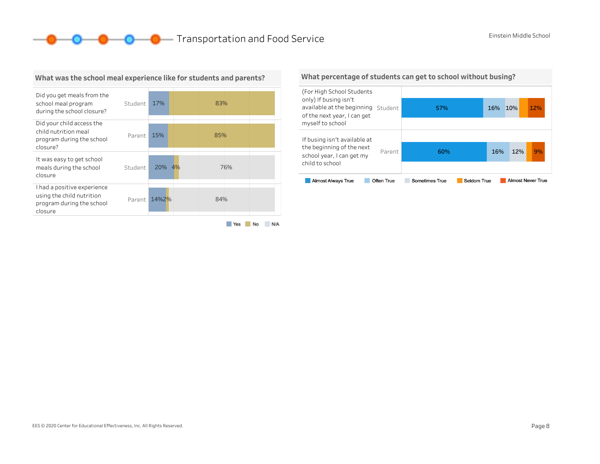**O O O** Transportation and Food Service Einstein Middle School



#### What was the school meal experience like for students and parents?

Yes No N/A

#### What percentage of students can get to school without busing?

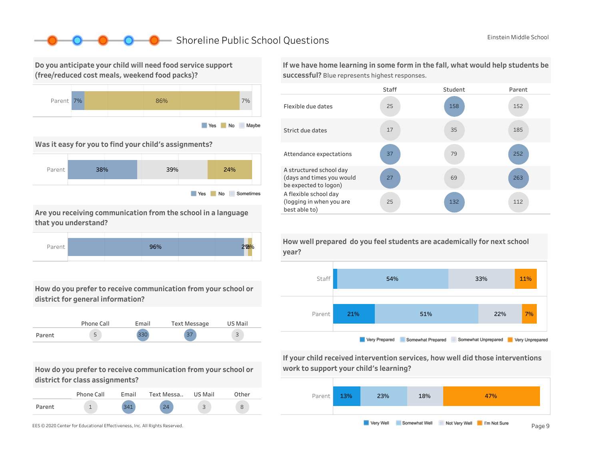### ■ Shoreline Public School Questions Einstein Middle School

Do you anticipate your child will need food service support (free/reduced cost meals, weekend food packs)?



Was it easy for you to find your child's assignments?



Are you receiving communication from the school in a language that you understand?



How do you prefer to receive communication from your school or district for general information?



How do you prefer to receive communication from your school or district for class assignments?

|        | Phone Call | Fmail | Text Messa | US Mail |  |
|--------|------------|-------|------------|---------|--|
| Parent |            | 211   | $\Omega$   |         |  |

If we have home learning in some form in the fall, what would help students be successful? Blue represents highest responses.





If your child received intervention services, how well did those interventions work to support your child's learning?



How well prepared do you feel students are academically for next school year?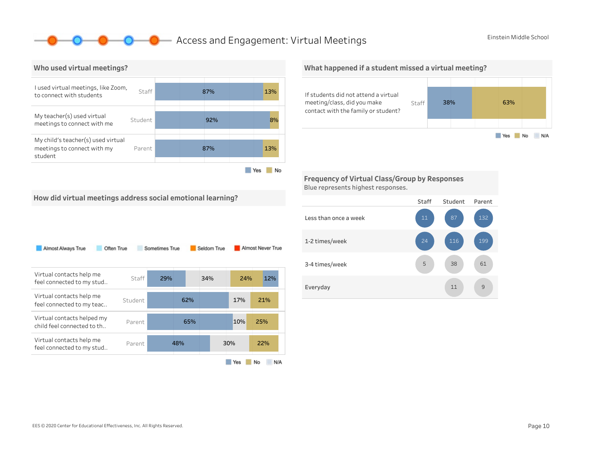### **O** Access and Engagement: Virtual Meetings Einstein Middle School



#### What happened if a student missed a virtual meeting?



Frequency of Virtual Class/Group by Responses Blue represents highest responses.



| Almost Always True                                       | Often True | Sometimes True |     | Seldom True |     | Almost Never True |
|----------------------------------------------------------|------------|----------------|-----|-------------|-----|-------------------|
| Virtual contacts help me<br>feel connected to my stud    | Staff      | 29%            |     | 34%         | 24% | 12%               |
| Virtual contacts help me<br>feel connected to my teac    | Student    |                | 62% |             | 17% | 21%               |
| Virtual contacts helped my<br>child feel connected to th | Parent     |                | 65% |             | 10% | 25%               |
| Virtual contacts help me<br>feel connected to my stud    | Parent     |                | 48% |             | 30% | 22%               |
|                                                          |            |                |     |             | Yes | No<br>N/A         |

#### Staff Student Parent Lessthanonceaweek 1-2times/week 3-4 times/week Everyday 11 9 61 199 132 11 38 116 5 24 11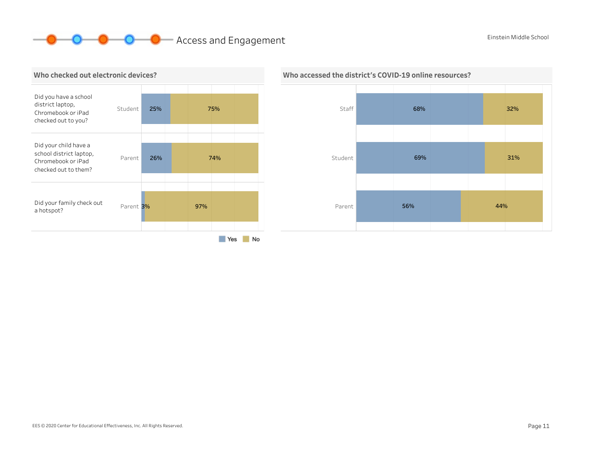# **O O** Access and Engagement **Einstein Middle School**





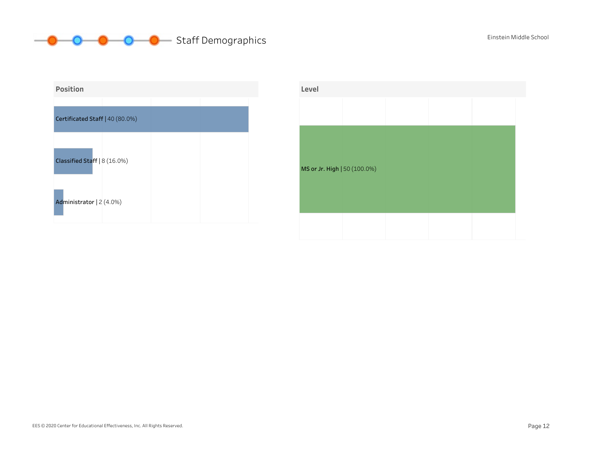

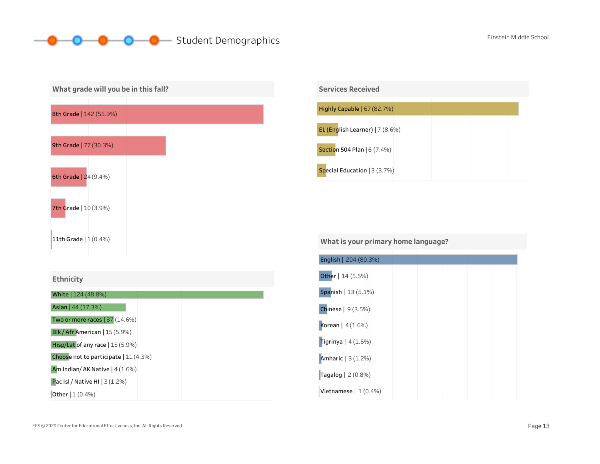## **Student Demographics** Einstein Middle School







| <b>Services Received</b>           |  |  |
|------------------------------------|--|--|
|                                    |  |  |
| Highly Capable $(67 (82.7%)$       |  |  |
| EL (English Learner) $ 7 (8.6%)$   |  |  |
| <b>Section 504 Plan   6 (7.4%)</b> |  |  |
| Special Education $ 3(3.7%)$       |  |  |

#### What is your primary home language?

| English   204 (80.3%) |  |  |  |
|-----------------------|--|--|--|
| Other   14 (5.5%)     |  |  |  |
| Spanish   13 (5.1%)   |  |  |  |
| Chinese   9 (3.5%)    |  |  |  |
| Korean   $4(1.6%)$    |  |  |  |
| Tigrinya   $4(1.6%)$  |  |  |  |
| Amharic   3 (1.2%)    |  |  |  |
| Tagalog $2(0.8%)$     |  |  |  |
| Vietnamese $ 1(0.4%)$ |  |  |  |